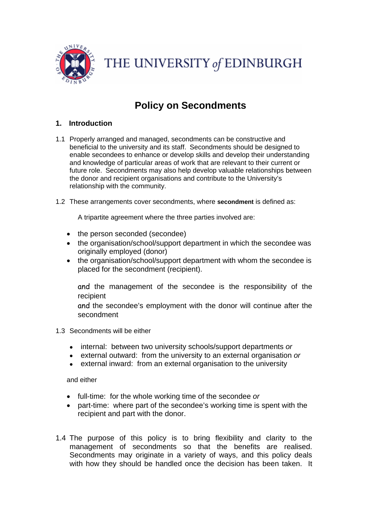

THE UNIVERSITY of EDINBURGH

# **Policy on Secondments**

## **1. Introduction**

- 1.1 Properly arranged and managed, secondments can be constructive and beneficial to the university and its staff. Secondments should be designed to enable secondees to enhance or develop skills and develop their understanding and knowledge of particular areas of work that are relevant to their current or future role. Secondments may also help develop valuable relationships between the donor and recipient organisations and contribute to the University's relationship with the community.
- 1.2 These arrangements cover secondments, where **secondment** is defined as:

A tripartite agreement where the three parties involved are:

- the person seconded (secondee)
- the organisation/school/support department in which the secondee was originally employed (donor)
- the organisation/school/support department with whom the secondee is placed for the secondment (recipient).

and the management of the secondee is the responsibility of the recipient

and the secondee's employment with the donor will continue after the secondment

- 1.3 Secondments will be either
	- internal: between two university schools/support departments *or*
	- external outward: from the university to an external organisation *or*
	- external inward: from an external organisation to the university

and either

- full-time: for the whole working time of the secondee *or*
- part-time: where part of the secondee's working time is spent with the recipient and part with the donor.
- <span id="page-0-0"></span>1.4 The purpose of this policy is to bring flexibility and clarity to the management of secondments so that the benefits are realised. Secondments may originate in a variety of ways, and this policy deals with how they should be handled once the decision has been taken. It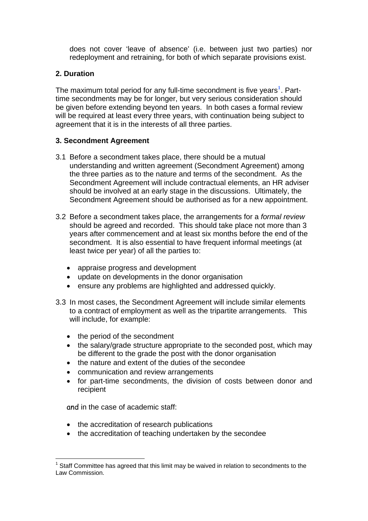does not cover 'leave of absence' (i.e. between just two parties) nor redeployment and retraining, for both of which separate provisions exist.

# **2. Duration**

The maximum total period for any full-time secondment is five years<sup>[1](#page-0-0)</sup>. Parttime secondments may be for longer, but very serious consideration should be given before extending beyond ten years. In both cases a formal review will be required at least every three years, with continuation being subject to agreement that it is in the interests of all three parties.

## **3. Secondment Agreement**

- 3.1 Before a secondment takes place, there should be a mutual understanding and written agreement (Secondment Agreement) among the three parties as to the nature and terms of the secondment. As the Secondment Agreement will include contractual elements, an HR adviser should be involved at an early stage in the discussions. Ultimately, the Secondment Agreement should be authorised as for a new appointment.
- 3.2 Before a secondment takes place, the arrangements for a *formal review* should be agreed and recorded. This should take place not more than 3 years after commencement and at least six months before the end of the secondment. It is also essential to have frequent informal meetings (at least twice per year) of all the parties to:
	- appraise progress and development
	- update on developments in the donor organisation
	- ensure any problems are highlighted and addressed quickly.
- 3.3 In most cases, the Secondment Agreement will include similar elements to a contract of employment as well as the tripartite arrangements. This will include, for example:
	- the period of the secondment
	- the salary/grade structure appropriate to the seconded post, which may be different to the grade the post with the donor organisation
	- the nature and extent of the duties of the secondee
	- communication and review arrangements
	- for part-time secondments, the division of costs between donor and recipient

and in the case of academic staff:

- the accreditation of research publications
- the accreditation of teaching undertaken by the secondee

<sup>&</sup>lt;u>.</u>  $1$  Staff Committee has agreed that this limit may be waived in relation to secondments to the Law Commission.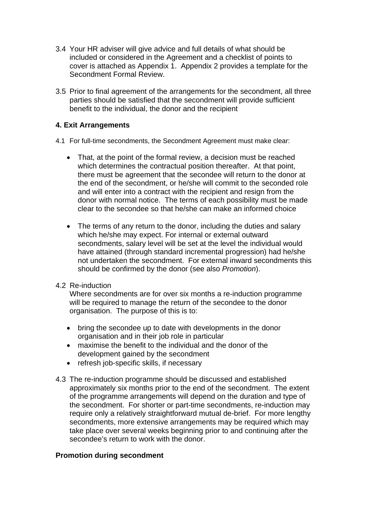- 3.4 Your HR adviser will give advice and full details of what should be included or considered in the Agreement and a checklist of points to cover is attached as Appendix 1. Appendix 2 provides a template for the Secondment Formal Review.
- 3.5 Prior to final agreement of the arrangements for the secondment, all three parties should be satisfied that the secondment will provide sufficient benefit to the individual, the donor and the recipient

## **4. Exit Arrangements**

- 4.1 For full-time secondments, the Secondment Agreement must make clear:
	- That, at the point of the formal review, a decision must be reached which determines the contractual position thereafter. At that point, there must be agreement that the secondee will return to the donor at the end of the secondment, or he/she will commit to the seconded role and will enter into a contract with the recipient and resign from the donor with normal notice. The terms of each possibility must be made clear to the secondee so that he/she can make an informed choice
	- The terms of any return to the donor, including the duties and salary which he/she may expect. For internal or external outward secondments, salary level will be set at the level the individual would have attained (through standard incremental progression) had he/she not undertaken the secondment. For external inward secondments this should be confirmed by the donor (see also *Promotion*).
- 4.2 Re-induction

Where secondments are for over six months a re-induction programme will be required to manage the return of the secondee to the donor organisation. The purpose of this is to:

- bring the secondee up to date with developments in the donor organisation and in their job role in particular
- maximise the benefit to the individual and the donor of the development gained by the secondment
- refresh job-specific skills, if necessary
- 4.3 The re-induction programme should be discussed and established approximately six months prior to the end of the secondment. The extent of the programme arrangements will depend on the duration and type of the secondment. For shorter or part-time secondments, re-induction may require only a relatively straightforward mutual de-brief. For more lengthy secondments, more extensive arrangements may be required which may take place over several weeks beginning prior to and continuing after the secondee's return to work with the donor.

#### **Promotion during secondment**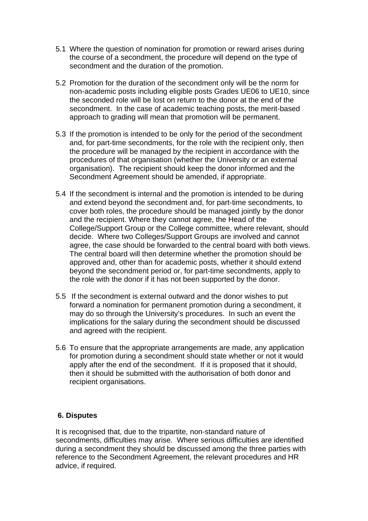- 5.1 Where the question of nomination for promotion or reward arises during the course of a secondment, the procedure will depend on the type of secondment and the duration of the promotion.
- 5.2 Promotion for the duration of the secondment only will be the norm for non-academic posts including eligible posts Grades UE06 to UE10, since the seconded role will be lost on return to the donor at the end of the secondment. In the case of academic teaching posts, the merit-based approach to grading will mean that promotion will be permanent.
- 5.3 If the promotion is intended to be only for the period of the secondment and, for part-time secondments, for the role with the recipient only, then the procedure will be managed by the recipient in accordance with the procedures of that organisation (whether the University or an external organisation). The recipient should keep the donor informed and the Secondment Agreement should be amended, if appropriate.
- 5.4 If the secondment is internal and the promotion is intended to be during and extend beyond the secondment and, for part-time secondments, to cover both roles, the procedure should be managed jointly by the donor and the recipient. Where they cannot agree, the Head of the College/Support Group or the College committee, where relevant, should decide. Where two Colleges/Support Groups are involved and cannot agree, the case should be forwarded to the central board with both views. The central board will then determine whether the promotion should be approved and, other than for academic posts, whether it should extend beyond the secondment period or, for part-time secondments, apply to the role with the donor if it has not been supported by the donor.
- 5.5 If the secondment is external outward and the donor wishes to put forward a nomination for permanent promotion during a secondment, it may do so through the University's procedures. In such an event the implications for the salary during the secondment should be discussed and agreed with the recipient.
- 5.6 To ensure that the appropriate arrangements are made, any application for promotion during a secondment should state whether or not it would apply after the end of the secondment. If it is proposed that it should, then it should be submitted with the authorisation of both donor and recipient organisations.

#### **6. Disputes**

It is recognised that, due to the tripartite, non-standard nature of secondments, difficulties may arise. Where serious difficulties are identified during a secondment they should be discussed among the three parties with reference to the Secondment Agreement, the relevant procedures and HR advice, if required.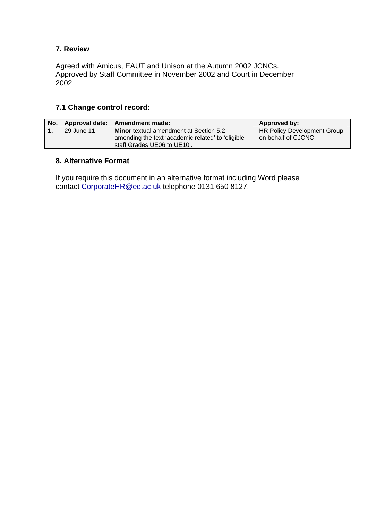# **7. Review**

Agreed with Amicus, EAUT and Unison at the Autumn 2002 JCNCs. Approved by Staff Committee in November 2002 and Court in December 2002

## **7.1 Change control record:**

| No. |            | Approval date:   Amendment made:                                                                                                  | Approved by:                                       |
|-----|------------|-----------------------------------------------------------------------------------------------------------------------------------|----------------------------------------------------|
|     | 29 June 11 | <b>Minor</b> textual amendment at Section 5.2<br>amending the text 'academic related' to 'eligible<br>staff Grades UE06 to UE10'. | HR Policy Development Group<br>on behalf of CJCNC. |
|     |            |                                                                                                                                   |                                                    |

#### **8. Alternative Format**

If you require this document in an alternative format including Word please contact [CorporateHR@ed.ac.uk](mailto:CorporateHR@ed.ac.uk) telephone 0131 650 8127.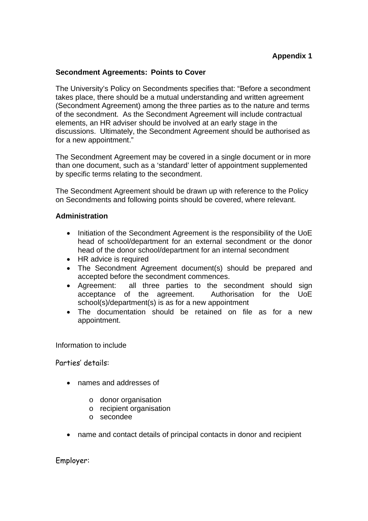#### **Secondment Agreements: Points to Cover**

The University's Policy on Secondments specifies that: "Before a secondment takes place, there should be a mutual understanding and written agreement (Secondment Agreement) among the three parties as to the nature and terms of the secondment. As the Secondment Agreement will include contractual elements, an HR adviser should be involved at an early stage in the discussions. Ultimately, the Secondment Agreement should be authorised as for a new appointment."

The Secondment Agreement may be covered in a single document or in more than one document, such as a 'standard' letter of appointment supplemented by specific terms relating to the secondment.

The Secondment Agreement should be drawn up with reference to the Policy on Secondments and following points should be covered, where relevant.

#### **Administration**

- Initiation of the Secondment Agreement is the responsibility of the UoE head of school/department for an external secondment or the donor head of the donor school/department for an internal secondment
- HR advice is required
- The Secondment Agreement document(s) should be prepared and accepted before the secondment commences.
- Agreement: all three parties to the secondment should sign acceptance of the agreement. Authorisation for the UoE school(s)/department(s) is as for a new appointment
- The documentation should be retained on file as for a new appointment.

Information to include

Parties' details:

- names and addresses of
	- o donor organisation
	- o recipient organisation
	- o secondee
- name and contact details of principal contacts in donor and recipient

Employer: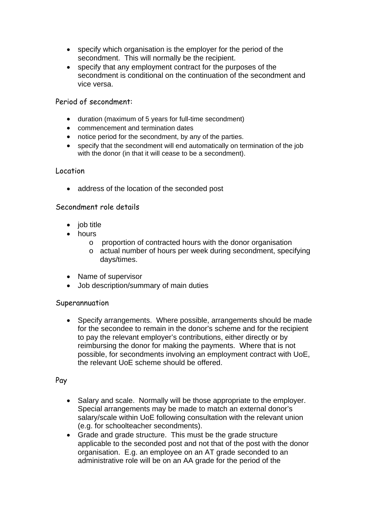- specify which organisation is the employer for the period of the secondment. This will normally be the recipient.
- specify that any employment contract for the purposes of the secondment is conditional on the continuation of the secondment and vice versa.

Period of secondment:

- duration (maximum of 5 years for full-time secondment)
- commencement and termination dates
- notice period for the secondment, by any of the parties.
- specify that the secondment will end automatically on termination of the job with the donor (in that it will cease to be a secondment).

#### Location

address of the location of the seconded post

#### Secondment role details

- $\bullet$  job title
- hours
	- o proportion of contracted hours with the donor organisation
	- o actual number of hours per week during secondment, specifying days/times.
- Name of supervisor
- Job description/summary of main duties

#### Superannuation

• Specify arrangements. Where possible, arrangements should be made for the secondee to remain in the donor's scheme and for the recipient to pay the relevant employer's contributions, either directly or by reimbursing the donor for making the payments. Where that is not possible, for secondments involving an employment contract with UoE, the relevant UoE scheme should be offered.

Pay

- Salary and scale. Normally will be those appropriate to the employer. Special arrangements may be made to match an external donor's salary/scale within UoE following consultation with the relevant union (e.g. for schoolteacher secondments).
- Grade and grade structure. This must be the grade structure applicable to the seconded post and not that of the post with the donor organisation. E.g. an employee on an AT grade seconded to an administrative role will be on an AA grade for the period of the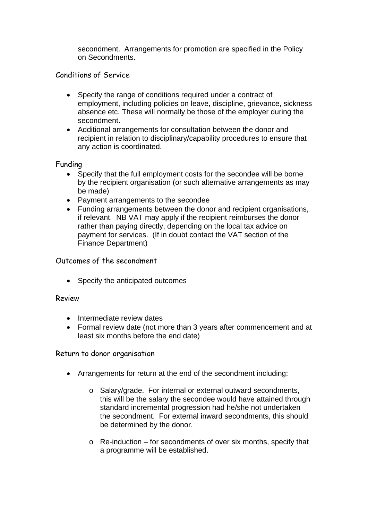secondment. Arrangements for promotion are specified in the Policy on Secondments.

Conditions of Service

- Specify the range of conditions required under a contract of employment, including policies on leave, discipline, grievance, sickness absence etc. These will normally be those of the employer during the secondment.
- Additional arrangements for consultation between the donor and recipient in relation to disciplinary/capability procedures to ensure that any action is coordinated.

Funding

- Specify that the full employment costs for the secondee will be borne by the recipient organisation (or such alternative arrangements as may be made)
- Payment arrangements to the secondee
- Funding arrangements between the donor and recipient organisations, if relevant. NB VAT may apply if the recipient reimburses the donor rather than paying directly, depending on the local tax advice on payment for services. (If in doubt contact the VAT section of the Finance Department)

### Outcomes of the secondment

• Specify the anticipated outcomes

#### Review

- Intermediate review dates
- Formal review date (not more than 3 years after commencement and at least six months before the end date)

Return to donor organisation

- Arrangements for return at the end of the secondment including:
	- o Salary/grade. For internal or external outward secondments, this will be the salary the secondee would have attained through standard incremental progression had he/she not undertaken the secondment. For external inward secondments, this should be determined by the donor.
	- o Re-induction for secondments of over six months, specify that a programme will be established.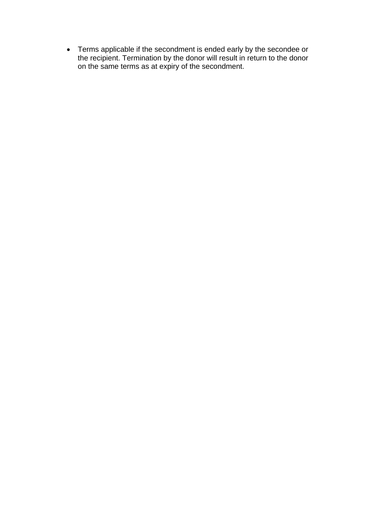Terms applicable if the secondment is ended early by the secondee or the recipient. Termination by the donor will result in return to the donor on the same terms as at expiry of the secondment.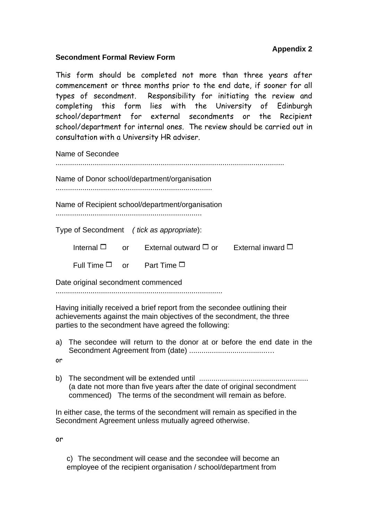# **Appendix 2**

#### **Secondment Formal Review Form**

This form should be completed not more than three years after commencement or three months prior to the end date, if sooner for all types of secondment. Responsibility for initiating the review and completing this form lies with the University of Edinburgh school/department for external secondments or the Recipient school/department for internal ones. The review should be carried out in consultation with a University HR adviser.

Name of Secondee

...............................................................................................................

Name of Donor school/department/organisation

............................................................................

Name of Recipient school/department/organisation

.......................................................................

Type of Secondment *( tick as appropriate*):

Internal  $\Box$  or External outward  $\Box$  or External inward  $\Box$ 

Full Time  $\square$  or Part Time  $\square$ 

Date original secondment commenced

.................................................................................

Having initially received a brief report from the secondee outlining their achievements against the main objectives of the secondment, the three parties to the secondment have agreed the following:

a) The secondee will return to the donor at or before the end date in the Secondment Agreement from (date) ......................................…

or

b) The secondment will be extended until ..................................................... (a date not more than five years after the date of original secondment commenced) The terms of the secondment will remain as before.

In either case, the terms of the secondment will remain as specified in the Secondment Agreement unless mutually agreed otherwise.

or

c) The secondment will cease and the secondee will become an employee of the recipient organisation / school/department from